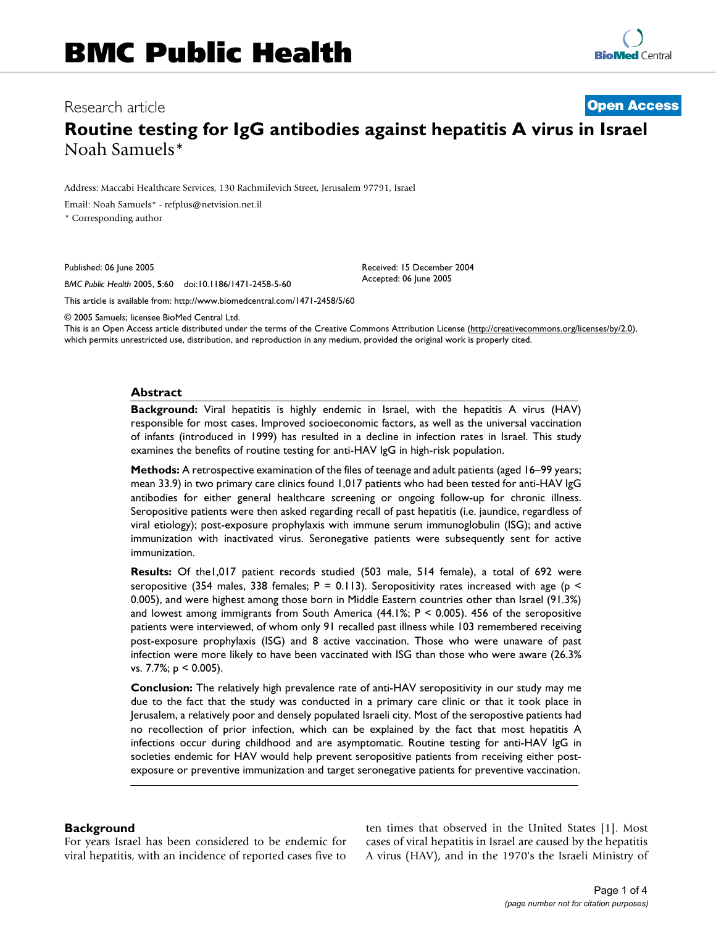# Research article **[Open Access](http://www.biomedcentral.com/info/about/charter/)**

# **Routine testing for IgG antibodies against hepatitis A virus in Israel** Noah Samuels\*

Address: Maccabi Healthcare Services, 130 Rachmilevich Street, Jerusalem 97791, Israel

Email: Noah Samuels\* - refplus@netvision.net.il

\* Corresponding author

Published: 06 June 2005

*BMC Public Health* 2005, **5**:60 doi:10.1186/1471-2458-5-60

[This article is available from: http://www.biomedcentral.com/1471-2458/5/60](http://www.biomedcentral.com/1471-2458/5/60)

© 2005 Samuels; licensee BioMed Central Ltd.

This is an Open Access article distributed under the terms of the Creative Commons Attribution License [\(http://creativecommons.org/licenses/by/2.0\)](http://creativecommons.org/licenses/by/2.0), which permits unrestricted use, distribution, and reproduction in any medium, provided the original work is properly cited.

Received: 15 December 2004 Accepted: 06 June 2005

#### **Abstract**

**Background:** Viral hepatitis is highly endemic in Israel, with the hepatitis A virus (HAV) responsible for most cases. Improved socioeconomic factors, as well as the universal vaccination of infants (introduced in 1999) has resulted in a decline in infection rates in Israel. This study examines the benefits of routine testing for anti-HAV IgG in high-risk population.

**Methods:** A retrospective examination of the files of teenage and adult patients (aged 16–99 years; mean 33.9) in two primary care clinics found 1,017 patients who had been tested for anti-HAV IgG antibodies for either general healthcare screening or ongoing follow-up for chronic illness. Seropositive patients were then asked regarding recall of past hepatitis (i.e. jaundice, regardless of viral etiology); post-exposure prophylaxis with immune serum immunoglobulin (ISG); and active immunization with inactivated virus. Seronegative patients were subsequently sent for active immunization.

**Results:** Of the1,017 patient records studied (503 male, 514 female), a total of 692 were seropositive (354 males, 338 females;  $P = 0.113$ ). Seropositivity rates increased with age (p < 0.005), and were highest among those born in Middle Eastern countries other than Israel (91.3%) and lowest among immigrants from South America  $(44.1\%; P \le 0.005)$ . 456 of the seropositive patients were interviewed, of whom only 91 recalled past illness while 103 remembered receiving post-exposure prophylaxis (ISG) and 8 active vaccination. Those who were unaware of past infection were more likely to have been vaccinated with ISG than those who were aware (26.3% vs. 7.7%; p < 0.005).

**Conclusion:** The relatively high prevalence rate of anti-HAV seropositivity in our study may me due to the fact that the study was conducted in a primary care clinic or that it took place in Jerusalem, a relatively poor and densely populated Israeli city. Most of the seropostive patients had no recollection of prior infection, which can be explained by the fact that most hepatitis A infections occur during childhood and are asymptomatic. Routine testing for anti-HAV IgG in societies endemic for HAV would help prevent seropositive patients from receiving either postexposure or preventive immunization and target seronegative patients for preventive vaccination.

# **Background**

For years Israel has been considered to be endemic for viral hepatitis, with an incidence of reported cases five to ten times that observed in the United States [1]. Most cases of viral hepatitis in Israel are caused by the hepatitis A virus (HAV), and in the 1970's the Israeli Ministry of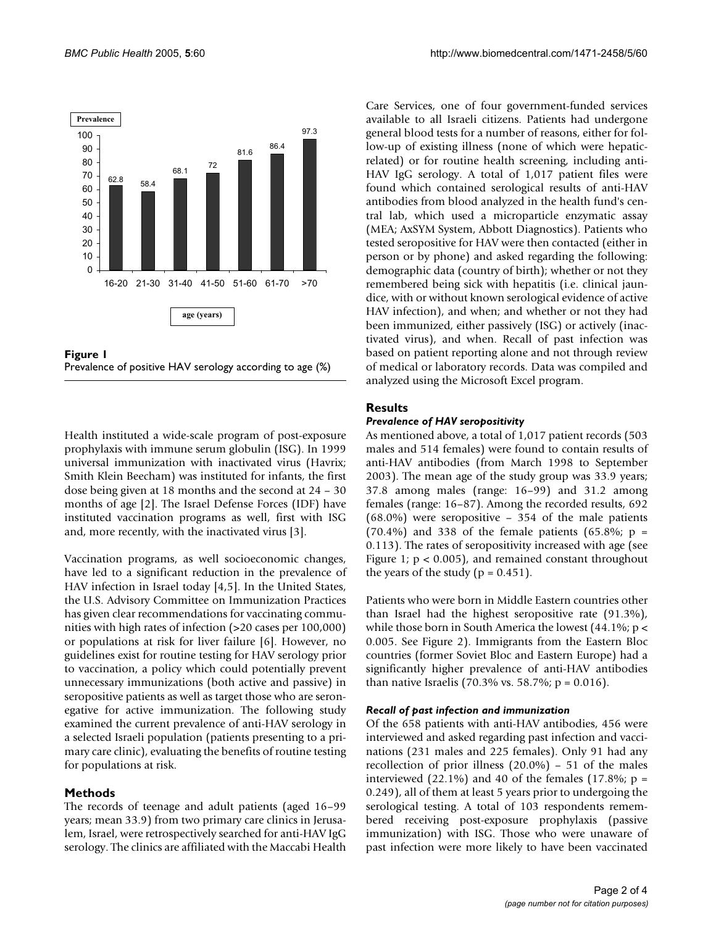

**Figure 1** Prevalence of positive HAV serology according to age (%)

Health instituted a wide-scale program of post-exposure prophylaxis with immune serum globulin (ISG). In 1999 universal immunization with inactivated virus (Havrix; Smith Klein Beecham) was instituted for infants, the first dose being given at 18 months and the second at 24 – 30 months of age [2]. The Israel Defense Forces (IDF) have instituted vaccination programs as well, first with ISG and, more recently, with the inactivated virus [3].

Vaccination programs, as well socioeconomic changes, have led to a significant reduction in the prevalence of HAV infection in Israel today [4,5]. In the United States, the U.S. Advisory Committee on Immunization Practices has given clear recommendations for vaccinating communities with high rates of infection (>20 cases per 100,000) or populations at risk for liver failure [6]. However, no guidelines exist for routine testing for HAV serology prior to vaccination, a policy which could potentially prevent unnecessary immunizations (both active and passive) in seropositive patients as well as target those who are seronegative for active immunization. The following study examined the current prevalence of anti-HAV serology in a selected Israeli population (patients presenting to a primary care clinic), evaluating the benefits of routine testing for populations at risk.

# **Methods**

The records of teenage and adult patients (aged 16–99 years; mean 33.9) from two primary care clinics in Jerusalem, Israel, were retrospectively searched for anti-HAV IgG serology. The clinics are affiliated with the Maccabi Health

Care Services, one of four government-funded services available to all Israeli citizens. Patients had undergone general blood tests for a number of reasons, either for follow-up of existing illness (none of which were hepaticrelated) or for routine health screening, including anti-HAV IgG serology. A total of 1,017 patient files were found which contained serological results of anti-HAV antibodies from blood analyzed in the health fund's central lab, which used a microparticle enzymatic assay (MEA; AxSYM System, Abbott Diagnostics). Patients who tested seropositive for HAV were then contacted (either in person or by phone) and asked regarding the following: demographic data (country of birth); whether or not they remembered being sick with hepatitis (i.e. clinical jaundice, with or without known serological evidence of active HAV infection), and when; and whether or not they had been immunized, either passively (ISG) or actively (inactivated virus), and when. Recall of past infection was based on patient reporting alone and not through review of medical or laboratory records. Data was compiled and analyzed using the Microsoft Excel program.

# **Results**

### *Prevalence of HAV seropositivity*

As mentioned above, a total of 1,017 patient records (503 males and 514 females) were found to contain results of anti-HAV antibodies (from March 1998 to September 2003). The mean age of the study group was 33.9 years; 37.8 among males (range: 16–99) and 31.2 among females (range: 16–87). Among the recorded results, 692 (68.0%) were seropositive – 354 of the male patients  $(70.4\%)$  and 338 of the female patients  $(65.8\%)$ ; p = 0.113). The rates of seropositivity increased with age (see Figure 1;  $p < 0.005$ ), and remained constant throughout the years of the study ( $p = 0.451$ ).

Patients who were born in Middle Eastern countries other than Israel had the highest seropositive rate (91.3%), while those born in South America the lowest  $(44.1\%; p <$ 0.005. See Figure [2](#page-2-0)). Immigrants from the Eastern Bloc countries (former Soviet Bloc and Eastern Europe) had a significantly higher prevalence of anti-HAV antibodies than native Israelis (70.3% vs. 58.7%;  $p = 0.016$ ).

#### *Recall of past infection and immunization*

Of the 658 patients with anti-HAV antibodies, 456 were interviewed and asked regarding past infection and vaccinations (231 males and 225 females). Only 91 had any recollection of prior illness (20.0%) – 51 of the males interviewed (22.1%) and 40 of the females (17.8%;  $p =$ 0.249), all of them at least 5 years prior to undergoing the serological testing. A total of 103 respondents remembered receiving post-exposure prophylaxis (passive immunization) with ISG. Those who were unaware of past infection were more likely to have been vaccinated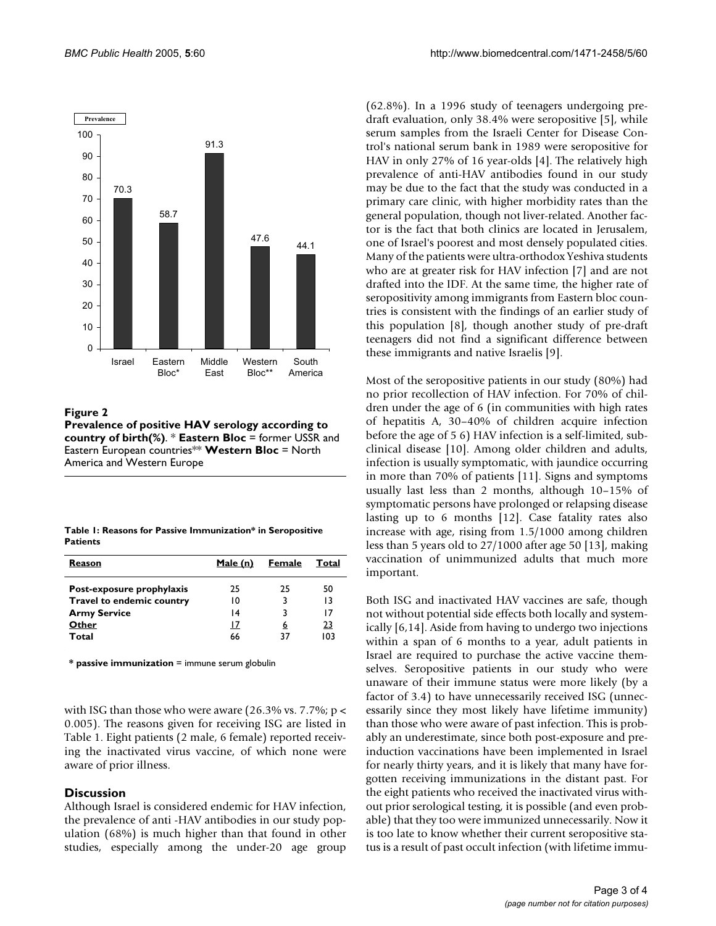<span id="page-2-0"></span>

**Figure 2 Prevalence of positive HAV serology according to country of birth(%)**. \* **Eastern Bloc** = former USSR and Eastern European countries\*\* **Western Bloc** = North America and Western Europe

<span id="page-2-1"></span>

| Table 1: Reasons for Passive Immunization* in Seropositive |
|------------------------------------------------------------|
| <b>Patients</b>                                            |

| Reason                                                 | Male (n) | Female  | Total    |
|--------------------------------------------------------|----------|---------|----------|
| Post-exposure prophylaxis<br>Travel to endemic country | 25<br>10 | 25<br>3 | 50<br>13 |
| <b>Army Service</b>                                    | 14       | 3       | 17       |
| Other                                                  | 17       | 6       | 23       |
| Total                                                  | 66       | 37      | 103      |

**\* passive immunization** = immune serum globulin

with ISG than those who were aware  $(26.3\% \text{ vs. } 7.7\%; \text{ p}$  < 0.005). The reasons given for receiving ISG are listed in Table [1.](#page-2-1) Eight patients (2 male, 6 female) reported receiving the inactivated virus vaccine, of which none were aware of prior illness.

#### **Discussion**

Although Israel is considered endemic for HAV infection, the prevalence of anti -HAV antibodies in our study population (68%) is much higher than that found in other studies, especially among the under-20 age group

(62.8%). In a 1996 study of teenagers undergoing predraft evaluation, only 38.4% were seropositive [5], while serum samples from the Israeli Center for Disease Control's national serum bank in 1989 were seropositive for HAV in only 27% of 16 year-olds [4]. The relatively high prevalence of anti-HAV antibodies found in our study may be due to the fact that the study was conducted in a primary care clinic, with higher morbidity rates than the general population, though not liver-related. Another factor is the fact that both clinics are located in Jerusalem, one of Israel's poorest and most densely populated cities. Many of the patients were ultra-orthodox Yeshiva students who are at greater risk for HAV infection [7] and are not drafted into the IDF. At the same time, the higher rate of seropositivity among immigrants from Eastern bloc countries is consistent with the findings of an earlier study of this population [8], though another study of pre-draft teenagers did not find a significant difference between these immigrants and native Israelis [9].

Most of the seropositive patients in our study (80%) had no prior recollection of HAV infection. For 70% of children under the age of 6 (in communities with high rates of hepatitis A, 30–40% of children acquire infection before the age of 5 6) HAV infection is a self-limited, subclinical disease [10]. Among older children and adults, infection is usually symptomatic, with jaundice occurring in more than 70% of patients [11]. Signs and symptoms usually last less than 2 months, although 10–15% of symptomatic persons have prolonged or relapsing disease lasting up to 6 months [12]. Case fatality rates also increase with age, rising from 1.5/1000 among children less than 5 years old to 27/1000 after age 50 [13], making vaccination of unimmunized adults that much more important.

Both ISG and inactivated HAV vaccines are safe, though not without potential side effects both locally and systemically [6,14]. Aside from having to undergo two injections within a span of 6 months to a year, adult patients in Israel are required to purchase the active vaccine themselves. Seropositive patients in our study who were unaware of their immune status were more likely (by a factor of 3.4) to have unnecessarily received ISG (unnecessarily since they most likely have lifetime immunity) than those who were aware of past infection. This is probably an underestimate, since both post-exposure and preinduction vaccinations have been implemented in Israel for nearly thirty years, and it is likely that many have forgotten receiving immunizations in the distant past. For the eight patients who received the inactivated virus without prior serological testing, it is possible (and even probable) that they too were immunized unnecessarily. Now it is too late to know whether their current seropositive status is a result of past occult infection (with lifetime immu